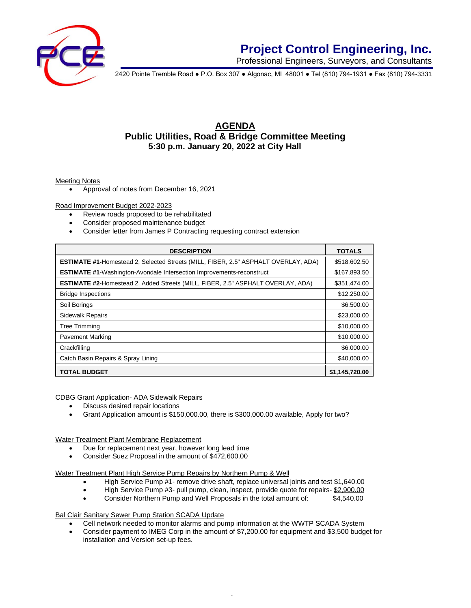

## **Project Control Engineering, Inc.**

Professional Engineers, Surveyors, and Consultants

2420 Pointe Tremble Road ● P.O. Box 307 ● Algonac, MI 48001 ● Tel (810) 794-1931 ● Fax (810) 794-3331

### **AGENDA Public Utilities, Road & Bridge Committee Meeting 5:30 p.m. January 20, 2022 at City Hall**

#### Meeting Notes

• Approval of notes from December 16, 2021

Road Improvement Budget 2022-2023

- Review roads proposed to be rehabilitated
- Consider proposed maintenance budget
- Consider letter from James P Contracting requesting contract extension

| <b>DESCRIPTION</b>                                                                        | <b>TOTALS</b>  |
|-------------------------------------------------------------------------------------------|----------------|
| <b>ESTIMATE #1-Homestead 2, Selected Streets (MILL, FIBER, 2.5" ASPHALT OVERLAY, ADA)</b> | \$518,602.50   |
| <b>ESTIMATE #1-</b> Washington-Avondale Intersection Improvements-reconstruct             | \$167,893.50   |
| <b>ESTIMATE #2-Homestead 2, Added Streets (MILL, FIBER, 2.5" ASPHALT OVERLAY, ADA)</b>    | \$351,474.00   |
| <b>Bridge Inspections</b>                                                                 | \$12,250.00    |
| Soil Borings                                                                              | \$6,500.00     |
| <b>Sidewalk Repairs</b>                                                                   | \$23,000.00    |
| <b>Tree Trimming</b>                                                                      | \$10,000.00    |
| <b>Pavement Marking</b>                                                                   | \$10,000.00    |
| Crackfilling                                                                              | \$6,000.00     |
| Catch Basin Repairs & Spray Lining                                                        | \$40,000.00    |
| <b>TOTAL BUDGET</b>                                                                       | \$1.145.720.00 |

CDBG Grant Application- ADA Sidewalk Repairs

- Discuss desired repair locations
- Grant Application amount is \$150,000.00, there is \$300,000.00 available, Apply for two?

Water Treatment Plant Membrane Replacement

- Due for replacement next year, however long lead time
- Consider Suez Proposal in the amount of \$472,600.00

Water Treatment Plant High Service Pump Repairs by Northern Pump & Well

- High Service Pump #1- remove drive shaft, replace universal joints and test \$1,640.00
- High Service Pump #3- pull pump, clean, inspect, provide quote for repairs- \$2,900.00
- Consider Northern Pump and Well Proposals in the total amount of: \$4,540.00

**Bal Clair Sanitary Sewer Pump Station SCADA Update** 

- Cell network needed to monitor alarms and pump information at the WWTP SCADA System
- Consider payment to IMEG Corp in the amount of \$7,200.00 for equipment and \$3,500 budget for installation and Version set-up fees.

*.*